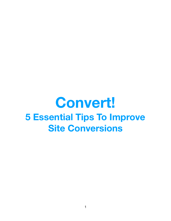# **Convert! 5 Essential Tips To Improve Site Conversions**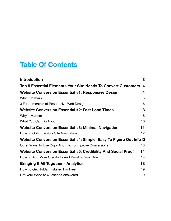## **Table Of Contents**

| <b>Introduction</b>                                                  | 3               |
|----------------------------------------------------------------------|-----------------|
| Top 5 Essential Elements Your Site Needs To Convert Customers        | 4               |
| <b>Website Conversion Essential #1: Responsive Design</b>            | 4               |
| Why It Matters                                                       | 5               |
| 3 Fundamentals of Responsive Web Design                              | 6               |
| <b>Website Conversion Essential #2: Fast Load Times</b>              | 8               |
| Why It Matters                                                       | 8               |
| What You Can Do About It                                             | 10              |
| Website Conversion Essential #3: Minimal Navigation                  | 11              |
| How To Optimize Your Site Navigation                                 | 12 <sub>2</sub> |
| Website Conversion Essential #4: Simple, Easy To Figure Out Info12   |                 |
| Other Ways To Use Copy And Info To Improve Conversions               | 13              |
| <b>Website Conversion Essential #5: Credibility And Social Proof</b> | 14              |
| How To Add More Credibility And Proof To Your Site                   | 14              |
| <b>Bringing It All Together - Analytics</b>                          | 18              |
| How To Get HotJar Installed For Free                                 | 19              |
| <b>Get Your Website Questions Answered</b>                           | 19              |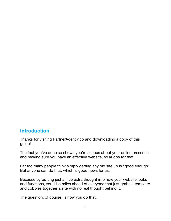## <span id="page-2-0"></span>**Introduction**

Thanks for visiting **PartnerAgency.co** and downloading a copy of this guide!

The fact you've done so shows you're serious about your online presence and making sure you have an effective website, so kudos for that!

Far too many people think simply getting any old site up is "good enough". But anyone can do that, which is good news for us.

Because by putting just a little extra thought into how your website looks and functions, you'll be miles ahead of everyone that just grabs a template and cobbles together a site with no real thought behind it.

The question, of course, is how you do that.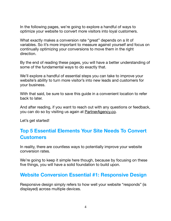In the following pages, we're going to explore a handful of ways to optimize your website to convert more visitors into loyal customers.

What exactly makes a conversion rate "great" depends on a lit of variables. So it's more important to measure against yourself and focus on continually optimizing your conversions to move them in the right direction.

By the end of reading these pages, you will have a better understanding of some of the fundamental ways to do exactly that.

We'll explore a handful of essential steps you can take to improve your website's ability to turn more visitor's into new leads and customers for your business.

With that said, be sure to save this guide in a convenient location to refer back to later.

And after reading, if you want to reach out with any questions or feedback, you can do so by visiting us again at [PartnerAgency.co.](http://PartnerAgency.co)

Let's get started!

## <span id="page-3-0"></span>**Top 5 Essential Elements Your Site Needs To Convert Customers**

In reality, there are countless ways to potentially improve your website conversion rates.

We're going to keep it simple here though, because by focusing on these five things, you will have a solid foundation to build upon.

## <span id="page-3-1"></span>**Website Conversion Essential #1: Responsive Design**

Responsive design simply refers to how well your website "responds" (is displayed) across multiple devices.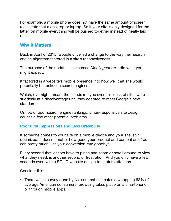For example, a mobile phone does not have the same amount of screen real estate that a desktop or laptop. So if your site is only designed for the latter, on mobile everything will be pushed together instead of neatly laid out.

## <span id="page-4-0"></span>**Why It Matters**

Back in April of 2015, Google unveiled a change to the way their search engine algorithm factored in a site's responsiveness.

The purpose of the update—nicknamed *Mobilegeddon*—did what you might expect:

It factored in a website's mobile presence into how well that site would potentially be ranked in search engines.

Which, overnight, meant thousands (maybe even millions), of sites were suddenly at a disadvantage until they adapted to meet Google's new standards.

On top of poor search engine rankings, a non-responsive site design causes a few other potential problems.

#### **Poor First Impressions and Less Credibility**

If someone comes to your site on a mobile device and your site isn't optimized, it doesn't matter how good your product and content are. You can pretty much kiss your conversion rate goodbye.

Every second that visitors have to pinch and zoom or scroll around to view what they need, is another second of frustration. And you only have a few seconds even with a SOLID website design to capture attention.

Consider this:

• There was a survey done by Nielsen that estimates a whopping 62% of average American consumers' browsing takes place on a smartphone or through mobile apps.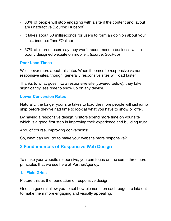- 38% of people will stop engaging with a site if the content and layout are unattractive (Source: Hubspot)
- It takes about 50 milliseconds for users to form an opinion about your site... (source: TandFOnline)
- 57% of internet users say they won't recommend a business with a poorly designed website on mobile... (source: SocPub)

#### **Poor Load Times**

We'll cover more about this later. When it comes to responsive vs nonresponsive sites, though, generally responsive sites will load faster.

Thanks to what goes into a responsive site (covered below), they take significantly less time to show up on any device.

#### **Lower Conversion Rates**

Naturally, the longer your site takes to load the more people will just jump ship before they've had time to look at what you have to show or offer.

By having a responsive design, visitors spend more time on your site which is a good first step in improving their experience and building trust.

And, of course, improving conversions!

So, what can you do to make your website more responsive?

## <span id="page-5-0"></span>**3 Fundamentals of Responsive Web Design**

To make your website responsive, you can focus on the same three core principles that we use here at PartnerAgency.

#### **1. Fluid Grids**

Picture this as the foundation of responsive design.

Grids in general allow you to set how elements on each page are laid out to make them more engaging and visually appealing.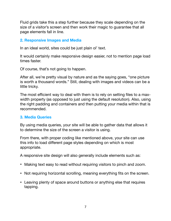Fluid grids take this a step further because they scale depending on the size of a visitor's screen and then work their magic to guarantee that all page elements fall in line.

#### **2. Responsive Images and Media**

In an ideal world, sites could be just plain ol' text.

It would certainly make responsive design easier, not to mention page load times faster.

Of course, that's not going to happen.

After all, we're pretty visual by nature and as the saying goes, "one picture is worth a thousand words." Still, dealing with images and videos can be a little tricky.

The most efficient way to deal with them is to rely on setting files to a maxwidth property (as opposed to just using the default resolution). Also, using the right padding and containers and then putting your media within that is recommended.

#### **3. Media Queries**

By using media queries, your site will be able to gather data that allows it to determine the size of the screen a visitor is using.

From there, with proper coding like mentioned above, your site can use this info to load different page styles depending on which is most appropriate.

A responsive site design will also generally include elements such as:

- Making text easy to read without requiring visitors to pinch and zoom.
- Not requiring horizontal scrolling, meaning everything fits on the screen.
- Leaving plenty of space around buttons or anything else that requires tapping.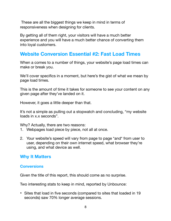These are all the biggest things we keep in mind in terms of responsiveness when designing for clients.

By getting all of them right, your visitors will have a much better experience and you will have a much better chance of converting them into loyal customers.

## <span id="page-7-0"></span>**Website Conversion Essential #2: Fast Load Times**

When a comes to a number of things, your website's page load times can make or break you.

We'll cover specifics in a moment, but here's the gist of what we mean by page load times.

This is the amount of time it takes for someone to see your content on any given page after they've landed on it.

However, it goes a little deeper than that.

It's not a simple as pulling out a stopwatch and concluding, "my website loads in x.x seconds".

Why? Actually, there are two reasons:

- 1. Webpages load piece by piece, not all at once.
- 2. Your website's speed will vary from page to page \*and\* from user to user, depending on their own internet speed, what browser they're using, and what device as well.

## <span id="page-7-1"></span>**Why It Matters**

#### **Conversions**

Given the title of this report, this should come as no surprise.

Two interesting stats to keep in mind, reported by Unbounce:

• Sites that load in five seconds (compared to sites that loaded in 19 seconds) saw 70% longer average sessions.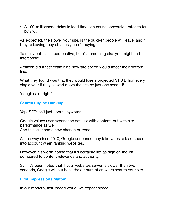• A 100-millisecond delay in load time can cause conversion rates to tank by 7%.

As expected, the slower your site, is the quicker people will leave, and if they're leaving they obviously aren't buying!

To really put this in perspective, here's something else you might find interesting:

Amazon did a test examining how site speed would affect their bottom line.

What they found was that they would lose a projected \$1.6 Billion every single year if they slowed down the site by just one second!

'nough said, right?

#### **Search Engine Ranking**

Yep, SEO isn't just about keywords.

Google values user experience not just with content, but with site performance as well. And this isn't some new change or trend.

All the way since 2010, Google announce they take website load speed into account when ranking websites.

However, it's worth noting that it's certainly not as high on the list compared to content relevance and authority.

Still, it's been noted that if your websites server is slower than two seconds, Google will cut back the amount of crawlers sent to your site.

#### **First Impressions Matter**

In our modern, fast-paced world, we expect speed.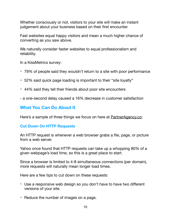Whether consciously or not, visitors to your site will make an instant judgement about your business based on their first encounter.

Fast websites equal happy visitors and mean a much higher chance of converting as you saw above.

We naturally consider faster websites to equal professionalism and reliability.

In a KissMetrics survey:

- 79% of people said they wouldn't return to a site with poor performance
- 52% said quick page loading is important to their "site loyalty"
- 44% said they tell their friends about poor site encounters
- a one-second delay caused a 16% decrease in customer satisfaction

## <span id="page-9-0"></span>**What You Can Do About It**

Here's a sample of three things we focus on here at [PartnerAgency.co:](http://PartnerAgency.co)

#### **Cut Down On HTTP Requests**

An HTTP request is whenever a web browser grabs a file, page, or picture from a web server.

Yahoo once found that HTTP requests can take up a whopping 80% of a given webpage's load time, so this is a great place to start.

Since a browser is limited to 4-8 simultaneous connections (per domain), more requests will naturally mean longer load times.

Here are a few tips to cut down on these requests:

- Use a responsive web design so you don't have to have two different versions of your site.
- Reduce the number of images on a page.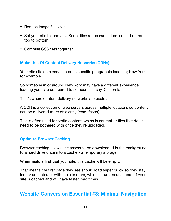- Reduce image file sizes
- Set your site to load JavaScript files at the same time instead of from top to bottom
- Combine CSS files together

#### **Make Use Of Content Delivery Networks (CDNs)**

Your site sits on a server in once specific geographic location; New York for example.

So someone in or around New York may have a different experience loading your site compared to someone in, say, California.

That's where content delivery networks are useful.

A CDN is a collection of web servers across multiple locations so content can be delivered more efficiently (read: faster).

This is often used for static content, which is content or files that don't need to be bothered with once they're uploaded.

#### **Optimize Browser Caching**

Browser caching allows site assets to be downloaded in the background to a hard drive once into a cache - a temporary storage.

When visitors first visit your site, this cache will be empty.

That means the first page they see should load super quick so they stay longer and interact with the site more, which in turn means more of your site is cached and will have faster load times.

## <span id="page-10-0"></span>**Website Conversion Essential #3: Minimal Navigation**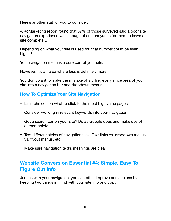Here's another stat for you to consider:

A KoMarketing report found that 37% of those surveyed said a poor site navigation experience was enough of an annoyance for them to leave a site completely.

Depending on what your site is used for, that number could be even higher!

Your navigation menu is a core part of your site.

However, it's an area where less is definitely more.

You don't want to make the mistake of stuffing every since area of your site into a navigation bar and dropdown menus.

## <span id="page-11-0"></span>**How To Optimize Your Site Navigation**

- Limit choices on what to click to the most high value pages
- Consider working in relevant keywords into your navigation
- Got a search bar on your site? Do as Google does and make use of autocomplete
- Test different styles of navigations (ex. Text links vs. dropdown menus vs. flyout menus, etc.)
- Make sure navigation text's meanings are clear

## <span id="page-11-1"></span>**Website Conversion Essential #4: Simple, Easy To Figure Out Info**

Just as with your navigation, you can often improve conversions by keeping two things in mind with your site info and copy: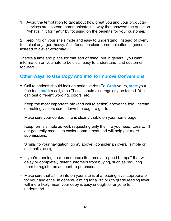1. Avoid the temptation to talk about how great you and your products/ services are. Instead, communicate in a way that answers the question "what's in it for me?," by focusing on the benefits for your customer.

2. Keep info on your site simple and easy to understand, instead of overly technical or jargon-heavy. Also focus on clear communication in general, instead of clever wordplay.

There's a time and place for that sort of thing, but in general, you want information on your site to be clear, easy to understand, and customer focused.

## <span id="page-12-0"></span>**Other Ways To Use Copy And Info To Improve Conversions**

- Call to actions should include action verbs (Ex. **Grab** yours, **start** your free trial, **book** a call, etc.) These should also regularly be tested. You can test different wording, colors, etc.
- Keep the most important info (and call to action) above the fold, instead of making visitors scroll down the page to get to it.
- Make sure your contact info is clearly visible on your home page
- Keep forms simple as well, requesting only the info you need. Less to fill out generally means an easier commitment and will help get more submissions.
- Similar to your navigation (tip #3 above), consider an overall simple or minimalist design.
- If you're running an e-commerce site, remove "speed bumps" that will delay or completely deter customers from buying, such as requiring them to register an account to purchase.
- Make sure that all the info on your site is at a reading level appropriate for your audience. In general, aiming for a 7th or 8th grade reading level will more likely mean your copy is easy enough for anyone to understand.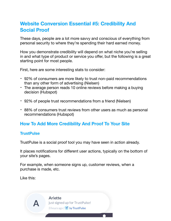## <span id="page-13-0"></span>**Website Conversion Essential #5: Credibility And Social Proof**

These days, people are a lot more savvy and conscious of everything from personal security to where they're spending their hard earned money.

How you demonstrate credibility will depend on what niche you're selling in and what type of product or service you offer, but the following is a great starting point for most people.

First, here are some interesting stats to consider:

- 92% of consumers are more likely to trust non-paid recommendations than any other form of advertising (Nielsen)
- The average person reads 10 online reviews before making a buying decision (Hubspot)
- 92% of people trust recommendations from a friend (Nielsen)
- 88% of consumers trust reviews from other users as much as personal recommendations (Hubspot)

## <span id="page-13-1"></span>**How To Add More Credibility And Proof To Your Site**

#### **TrustPulse**

TrustPulse is a social proof tool you may have seen in action already.

It places notifications for different user actions, typically on the bottom of your site's pages.

For example, when someone signs up, customer reviews, when a purchase is made, etc.

Like this:

Arlette just signed up for TrustPulse! 3 hours ago | V by TrustPulse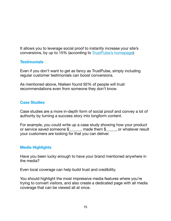It allows you to leverage social proof to instantly increase your site's conversions, by up to 15% (according to [TrustPulse's homepage\)](http://TrustPulse.com).

#### **Testimonials**

Even if you don't want to get as fancy as TrustPulse, simply including regular customer testimonials can boost conversions.

As mentioned above, Nielsen found 92% of people will trust recommendations even from someone they don't know.

#### **Case Studies**

Case studies are a more in-depth form of social proof and convey a lot of authority by turning a success story into longform content.

For example, you could write up a case study showing how your product or service saved someone \$ Theorem \$ are whatever result your customers are looking for that you can deliver.

#### **Media Highlights**

Have you been lucky enough to have your brand mentioned anywhere in the media?

Even local coverage can help build trust and credibility.

You should highlight the most impressive media features where you're trying to convert visitors, and also create a dedicated page with all media coverage that can be viewed all at once.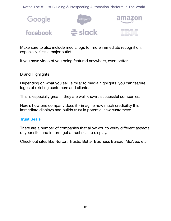Rated The #1 List Building & Prospecting Automation Platform In The World



Make sure to also include media logs for more immediate recognition, especially if it's a major outlet.

If you have video of you being featured anywhere, even better!

Brand Highlights

Depending on what you sell, similar to media highlights, you can feature logos of existing customers and clients.

This is especially great if they are well known, successful companies.

Here's how one company does it - imagine how much credibility this immediate displays and builds trust in potential new customers:

#### **Trust Seals**

There are a number of companies that allow you to verify different aspects of your site, and in turn, get a trust seal to display.

Check out sites like Norton, Truste. Better Business Bureau, McAfee, etc.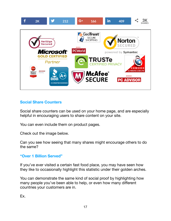

#### **Social Share Counters**

Social share counters can be used on your home page, and are especially helpful in encouraging users to share content on your site.

You can even include them on product pages.

Check out the image below.

Can you see how seeing that many shares might encourage others to do the same?

#### **"Over 1 Billion Served"**

If you've ever visited a certain fast food place, you may have seen how they like to occasionally highlight this statistic under their golden arches.

You can demonstrate the same kind of social proof by highlighting how many people you've been able to help, or even how many different countries your customers are in.

Ex.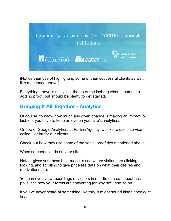

(Notice their use of highlighting some of their successful clients as well, like mentioned above!)

Everything above is really just the tip of the iceberg when it comes to adding proof, but should be plenty to get started.

## <span id="page-17-0"></span>**Bringing It All Together - Analytics**

Of course, to know how much any given change is making an impact (or lack of), you have to keep an eye on your site's analytics.

On top of Google Analytics, at PartnerAgency, we like to use a service called HotJar for our clients.

Check out how they use some of the social proof tips mentioned above:

When someone lands on your site…

HotJar gives you these heat maps to see where visitors are clicking, looking, and scrolling to give priceless data on what their desires and motivations are.

You can even view recordings of visitors in real-time, create feedback polls, see how your forms are converting (or why not), and so on.

If you've never heard of something like this, it might sound kinda spooky at first.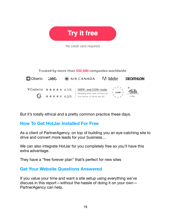

No credit card required

Trusted by more than 500,000 companies worldwide.



But it's totally ethical and a pretty common practice these days.

## <span id="page-18-0"></span>**How To Get HotJar Installed For Free**

As a client of PartnerAgency, on top of building you an eye-catching site to drive and convert more leads for your business…

We can also integrate HotJar for you completely free so you'll have this extra advantage.

They have a "free forever plan" that's perfect for new sites

## <span id="page-18-1"></span>**Get Your Website Questions Answered**

If you value your time and want a site setup using everything we've discuss in this report—without the hassle of doing it on your own— PartnerAgency can help.